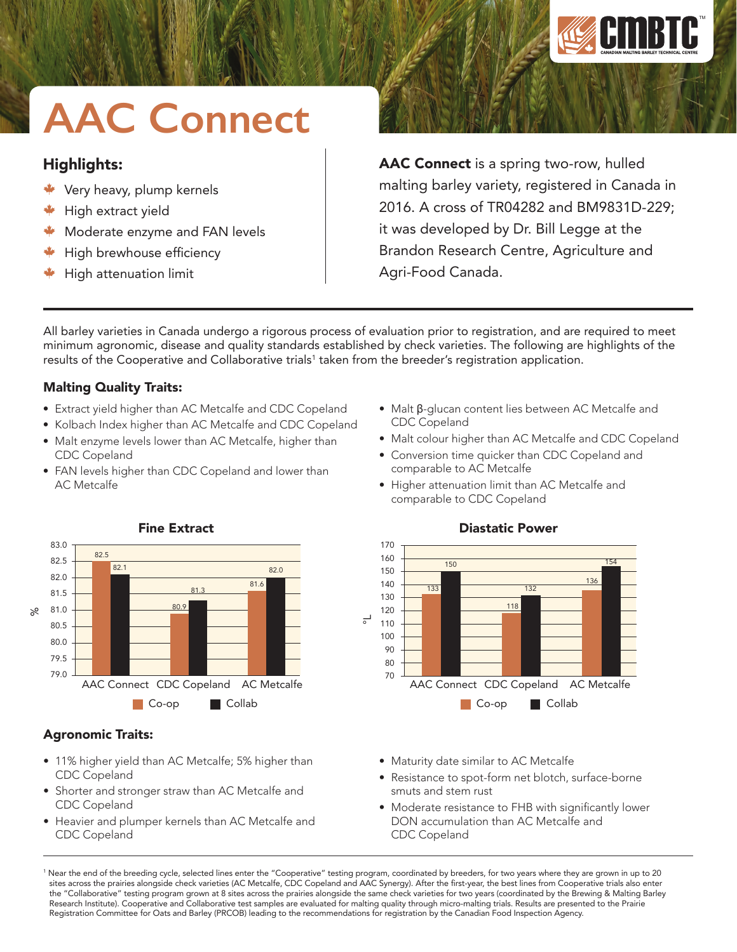

# **AAC Connect**

# Highlights:

- Very heavy, plump kernels
- $*$  High extract yield
- Moderate enzyme and FAN levels
- $\blacktriangleright$  High brewhouse efficiency
- High attenuation limit

AAC Connect is a spring two-row, hulled malting barley variety, registered in Canada in 2016. A cross of TR04282 and BM9831D-229; it was developed by Dr. Bill Legge at the Brandon Research Centre, Agriculture and Agri-Food Canada.

All barley varieties in Canada undergo a rigorous process of evaluation prior to registration, and are required to meet minimum agronomic, disease and quality standards established by check varieties. The following are highlights of the results of the Cooperative and Collaborative trials<sup>1</sup> taken from the breeder's registration application.

°L

CDC Copeland

133

150

comparable to AC Metcalfe

comparable to CDC Copeland

## Malting Quality Traits:

- Extract yield higher than AC Metcalfe and CDC Copeland
- Kolbach Index higher than AC Metcalfe and CDC Copeland
- Malt enzyme levels lower than AC Metcalfe, higher than CDC Copeland
- FAN levels higher than CDC Copeland and lower than AC Metcalfe



• 11% higher yield than AC Metcalfe; 5% higher than

• Shorter and stronger straw than AC Metcalfe and

• Heavier and plumper kernels than AC Metcalfe and

CDC Copeland

Agronomic Traits:

CDC Copeland

CDC Copeland

#### Fine Extract

• Maturity date similar to AC Metcalfe

• Resistance to spot-form net blotch, surface-borne smuts and stem rust

AAC Connect CDC Copeland AC Metcalfe

Co-op **Collab** 

• Moderate resistance to FHB with significantly lower DON accumulation than AC Metcalfe and CDC Copeland

1 Near the end of the breeding cycle, selected lines enter the "Cooperative" testing program, coordinated by breeders, for two years where they are grown in up to 20 sites across the prairies alongside check varieties (AC Metcalfe, CDC Copeland and AAC Synergy). After the first-year, the best lines from Cooperative trials also enter the "Collaborative" testing program grown at 8 sites across the prairies alongside the same check varieties for two years (coordinated by the Brewing & Malting Barley Research Institute). Cooperative and Collaborative test samples are evaluated for malting quality through micro-malting trials. Results are presented to the Prairie Registration Committee for Oats and Barley (PRCOB) leading to the recommendations for registration by the Canadian Food Inspection Agency.

#### Diastatic Power

118

132

136

154

• Higher attenuation limit than AC Metcalfe and

• Malt β-glucan content lies between AC Metcalfe and

• Conversion time quicker than CDC Copeland and

• Malt colour higher than AC Metcalfe and CDC Copeland